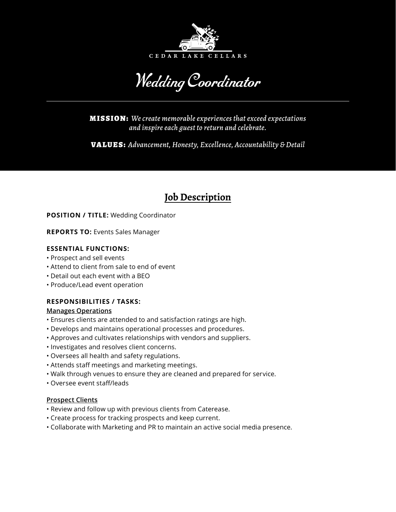

Wedding Coordinator

MISSION: *We create memorable experiences that exceed expectations and inspire each guest to return and celebrate.*

VALUES: *Advancement, Honesty, Excellence, Accountability & Detail*

# **Job Description**

**POSITION / TITLE:** Wedding Coordinator

**REPORTS TO:** Events Sales Manager

## **ESSENTIAL FUNCTIONS:**

- Prospect and sell events
- Attend to client from sale to end of event
- Detail out each event with a BEO
- Produce/Lead event operation

# **RESPONSIBILITIES / TASKS:**

## **Manages Operations**

- Ensures clients are attended to and satisfaction ratings are high.
- Develops and maintains operational processes and procedures.
- Approves and cultivates relationships with vendors and suppliers.
- Investigates and resolves client concerns.
- Oversees all health and safety regulations.
- Attends staff meetings and marketing meetings.
- Walk through venues to ensure they are cleaned and prepared for service.
- Oversee event staff/leads

## **Prospect Clients**

- Review and follow up with previous clients from Caterease.
- Create process for tracking prospects and keep current.
- Collaborate with Marketing and PR to maintain an active social media presence.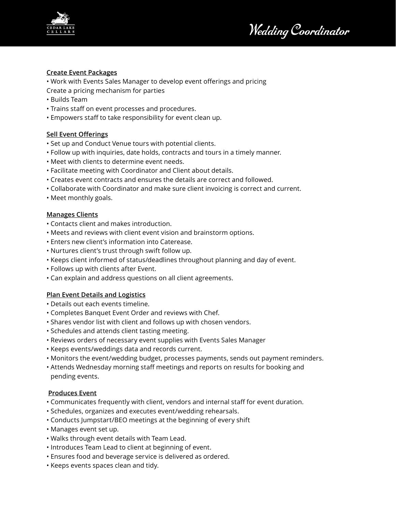

Wedding Coordinator

## **Create Event Packages**

• Work with Events Sales Manager to develop event offerings and pricing Create a pricing mechanism for parties

- Builds Team
- Trains staff on event processes and procedures.
- Empowers staff to take responsibility for event clean up.

## **Sell Event Offerings**

- Set up and Conduct Venue tours with potential clients.
- Follow up with inquiries, date holds, contracts and tours in a timely manner.
- Meet with clients to determine event needs.
- Facilitate meeting with Coordinator and Client about details.
- Creates event contracts and ensures the details are correct and followed.
- Collaborate with Coordinator and make sure client invoicing is correct and current.
- Meet monthly goals.

## **Manages Clients**

- Contacts client and makes introduction.
- Meets and reviews with client event vision and brainstorm options.
- Enters new client's information into Caterease.
- Nurtures client's trust through swift follow up.
- Keeps client informed of status/deadlines throughout planning and day of event.
- Follows up with clients after Event.
- Can explain and address questions on all client agreements.

## **Plan Event Details and Logistics**

- Details out each events timeline.
- Completes Banquet Event Order and reviews with Chef.
- Shares vendor list with client and follows up with chosen vendors.
- Schedules and attends client tasting meeting.
- Reviews orders of necessary event supplies with Events Sales Manager
- Keeps events/weddings data and records current.
- Monitors the event/wedding budget, processes payments, sends out payment reminders.
- Attends Wednesday morning staff meetings and reports on results for booking and pending events.

## **Produces Event**

- Communicates frequently with client, vendors and internal staff for event duration.
- Schedules, organizes and executes event/wedding rehearsals.
- Conducts Jumpstart/BEO meetings at the beginning of every shift
- Manages event set up.
- Walks through event details with Team Lead.
- Introduces Team Lead to client at beginning of event.
- Ensures food and beverage service is delivered as ordered.
- Keeps events spaces clean and tidy.